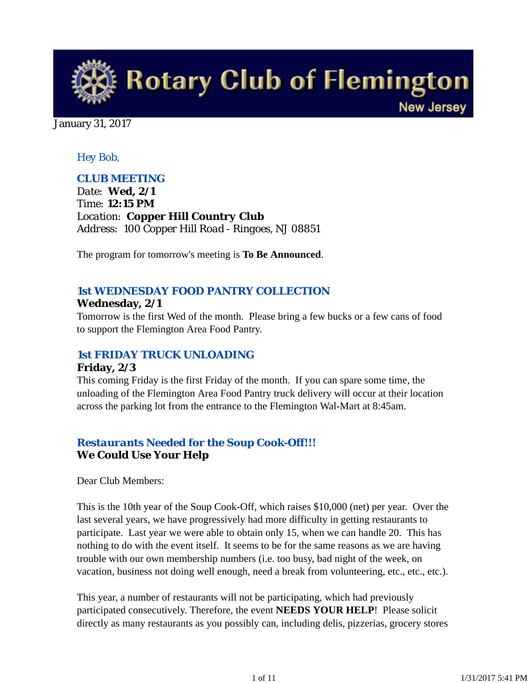

January 31, 2017

## *Hey Bob,*

## *CLUB MEETING*

*Date: Wed, 2/1 Time: 12:15 PM Location: Copper Hill Country Club Address: 100 Copper Hill Road - Ringoes, NJ 08851*

The program for tomorrow's meeting is **To Be Announced**.

## *1st WEDNESDAY FOOD PANTRY COLLECTION* **Wednesday, 2/1**

Tomorrow is the first Wed of the month. Please bring a few bucks or a few cans of food to support the Flemington Area Food Pantry.

### *1st FRIDAY TRUCK UNLOADING*

#### **Friday, 2/3**

This coming Friday is the first Friday of the month. If you can spare some time, the unloading of the Flemington Area Food Pantry truck delivery will occur at their location across the parking lot from the entrance to the Flemington Wal-Mart at 8:45am.

## *Restaurants Needed for the Soup Cook-Off!!!* **We Could Use Your Help**

Dear Club Members:

This is the 10th year of the Soup Cook-Off, which raises \$10,000 (net) per year. Over the last several years, we have progressively had more difficulty in getting restaurants to participate. Last year we were able to obtain only 15, when we can handle 20. This has nothing to do with the event itself. It seems to be for the same reasons as we are having trouble with our own membership numbers (i.e. too busy, bad night of the week, on vacation, business not doing well enough, need a break from volunteering, etc., etc., etc.).

This year, a number of restaurants will not be participating, which had previously participated consecutively. Therefore, the event **NEEDS YOUR HELP**! Please solicit directly as many restaurants as you possibly can, including delis, pizzerias, grocery stores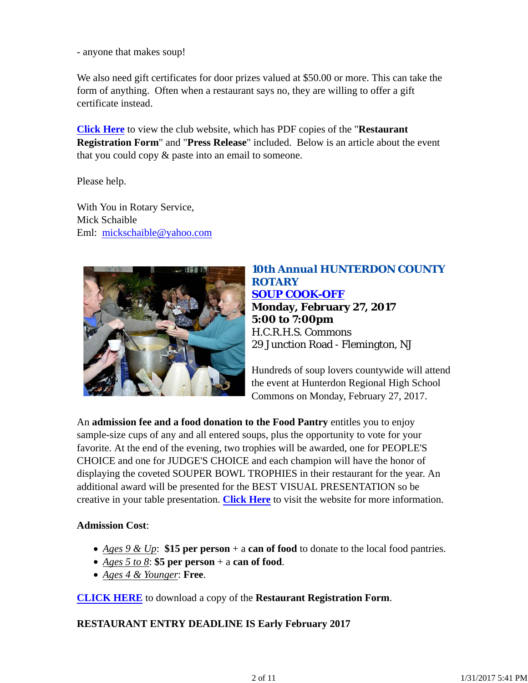- anyone that makes soup!

We also need gift certificates for door prizes valued at \$50.00 or more. This can take the form of anything. Often when a restaurant says no, they are willing to offer a gift certificate instead.

**Click Here** to view the club website, which has PDF copies of the "**Restaurant Registration Form**" and "**Press Release**" included. Below is an article about the event that you could copy & paste into an email to someone.

Please help.

With You in Rotary Service, Mick Schaible Eml: mickschaible@yahoo.com



# *10th Annual HUNTERDON COUNTY ROTARY SOUP COOK-OFF* **Monday, February 27, 2017 5:00 to 7:00pm** H.C.R.H.S. Commons 29 Junction Road - Flemington, NJ

Hundreds of soup lovers countywide will attend the event at Hunterdon Regional High School Commons on Monday, February 27, 2017.

An **admission fee and a food donation to the Food Pantry** entitles you to enjoy sample-size cups of any and all entered soups, plus the opportunity to vote for your favorite. At the end of the evening, two trophies will be awarded, one for PEOPLE'S CHOICE and one for JUDGE'S CHOICE and each champion will have the honor of displaying the coveted SOUPER BOWL TROPHIES in their restaurant for the year. An additional award will be presented for the BEST VISUAL PRESENTATION so be creative in your table presentation. **Click Here** to visit the website for more information.

### **Admission Cost**:

- *Ages 9 & Up*: **\$15 per person** + a **can of food** to donate to the local food pantries.
- *Ages 5 to 8*: **\$5 per person** + a **can of food**.
- *Ages 4 & Younger*: **Free**.

**CLICK HERE** to download a copy of the **Restaurant Registration Form**.

**RESTAURANT ENTRY DEADLINE IS Early February 2017**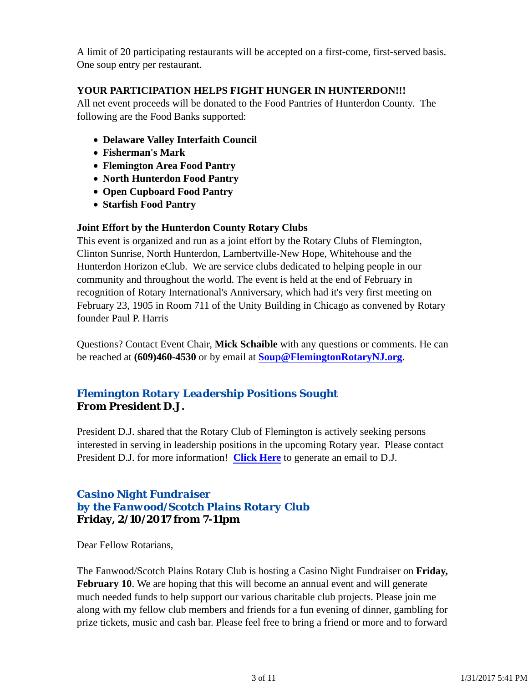A limit of 20 participating restaurants will be accepted on a first-come, first-served basis. One soup entry per restaurant.

## **YOUR PARTICIPATION HELPS FIGHT HUNGER IN HUNTERDON!!!**

All net event proceeds will be donated to the Food Pantries of Hunterdon County. The following are the Food Banks supported:

- **Delaware Valley Interfaith Council**
- **Fisherman's Mark**
- **Flemington Area Food Pantry**
- **North Hunterdon Food Pantry**
- **Open Cupboard Food Pantry**
- **Starfish Food Pantry**

### **Joint Effort by the Hunterdon County Rotary Clubs**

This event is organized and run as a joint effort by the Rotary Clubs of Flemington, Clinton Sunrise, North Hunterdon, Lambertville-New Hope, Whitehouse and the Hunterdon Horizon eClub. We are service clubs dedicated to helping people in our community and throughout the world. The event is held at the end of February in recognition of Rotary International's Anniversary, which had it's very first meeting on February 23, 1905 in Room 711 of the Unity Building in Chicago as convened by Rotary founder Paul P. Harris

Questions? Contact Event Chair, **Mick Schaible** with any questions or comments. He can be reached at **(609)460-4530** or by email at **Soup@FlemingtonRotaryNJ.org**.

# *Flemington Rotary Leadership Positions Sought* **From President D.J.**

President D.J. shared that the Rotary Club of Flemington is actively seeking persons interested in serving in leadership positions in the upcoming Rotary year. Please contact President D.J. for more information! **Click Here** to generate an email to D.J.

## *Casino Night Fundraiser by the Fanwood/Scotch Plains Rotary Club* **Friday, 2/10/2017 from 7-11pm**

Dear Fellow Rotarians,

The Fanwood/Scotch Plains Rotary Club is hosting a Casino Night Fundraiser on **Friday, February 10.** We are hoping that this will become an annual event and will generate much needed funds to help support our various charitable club projects. Please join me along with my fellow club members and friends for a fun evening of dinner, gambling for prize tickets, music and cash bar. Please feel free to bring a friend or more and to forward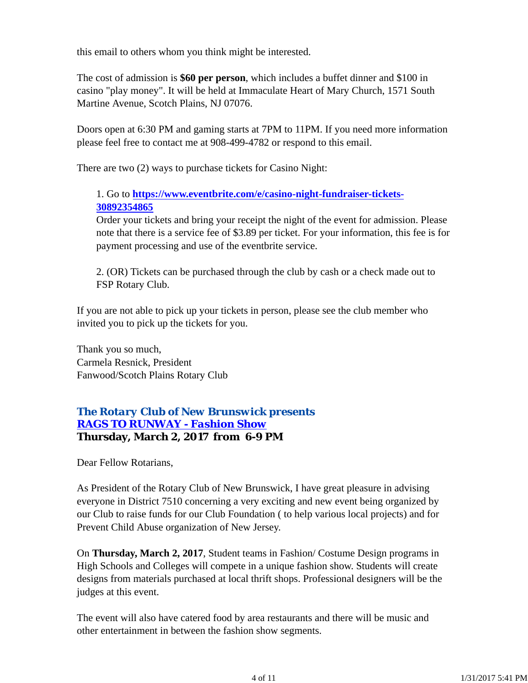this email to others whom you think might be interested.

The cost of admission is **\$60 per person**, which includes a buffet dinner and \$100 in casino "play money". It will be held at Immaculate Heart of Mary Church, 1571 South Martine Avenue, Scotch Plains, NJ 07076.

Doors open at 6:30 PM and gaming starts at 7PM to 11PM. If you need more information please feel free to contact me at 908-499-4782 or respond to this email.

There are two (2) ways to purchase tickets for Casino Night:

## 1. Go to **https://www.eventbrite.com/e/casino-night-fundraiser-tickets-30892354865**

Order your tickets and bring your receipt the night of the event for admission. Please note that there is a service fee of \$3.89 per ticket. For your information, this fee is for payment processing and use of the eventbrite service.

2. (OR) Tickets can be purchased through the club by cash or a check made out to FSP Rotary Club.

If you are not able to pick up your tickets in person, please see the club member who invited you to pick up the tickets for you.

Thank you so much, Carmela Resnick, President Fanwood/Scotch Plains Rotary Club

# *The Rotary Club of New Brunswick presents RAGS TO RUNWAY - Fashion Show* **Thursday, March 2, 2017 from 6-9 PM**

Dear Fellow Rotarians,

As President of the Rotary Club of New Brunswick, I have great pleasure in advising everyone in District 7510 concerning a very exciting and new event being organized by our Club to raise funds for our Club Foundation ( to help various local projects) and for Prevent Child Abuse organization of New Jersey.

On **Thursday, March 2, 2017**, Student teams in Fashion/ Costume Design programs in High Schools and Colleges will compete in a unique fashion show. Students will create designs from materials purchased at local thrift shops. Professional designers will be the judges at this event.

The event will also have catered food by area restaurants and there will be music and other entertainment in between the fashion show segments.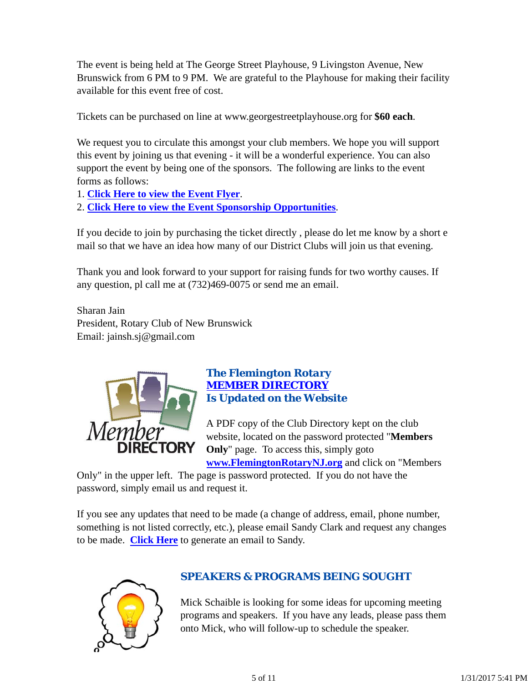The event is being held at The George Street Playhouse, 9 Livingston Avenue, New Brunswick from 6 PM to 9 PM. We are grateful to the Playhouse for making their facility available for this event free of cost.

Tickets can be purchased on line at www.georgestreetplayhouse.org for **\$60 each**.

We request you to circulate this amongst your club members. We hope you will support this event by joining us that evening - it will be a wonderful experience. You can also support the event by being one of the sponsors. The following are links to the event forms as follows:

1. **Click Here to view the Event Flyer**.

2. **Click Here to view the Event Sponsorship Opportunities**.

If you decide to join by purchasing the ticket directly , please do let me know by a short e mail so that we have an idea how many of our District Clubs will join us that evening.

Thank you and look forward to your support for raising funds for two worthy causes. If any question, pl call me at (732)469-0075 or send me an email.

Sharan Jain President, Rotary Club of New Brunswick Email: jainsh.sj@gmail.com



## *The Flemington Rotary MEMBER DIRECTORY Is Updated on the Website*

A PDF copy of the Club Directory kept on the club website, located on the password protected "**Members Only**" page. To access this, simply goto **www.FlemingtonRotaryNJ.org** and click on "Members

Only" in the upper left. The page is password protected. If you do not have the password, simply email us and request it.

If you see any updates that need to be made (a change of address, email, phone number, something is not listed correctly, etc.), please email Sandy Clark and request any changes to be made. **Click Here** to generate an email to Sandy.



# *SPEAKERS & PROGRAMS BEING SOUGHT*

Mick Schaible is looking for some ideas for upcoming meeting programs and speakers. If you have any leads, please pass them onto Mick, who will follow-up to schedule the speaker.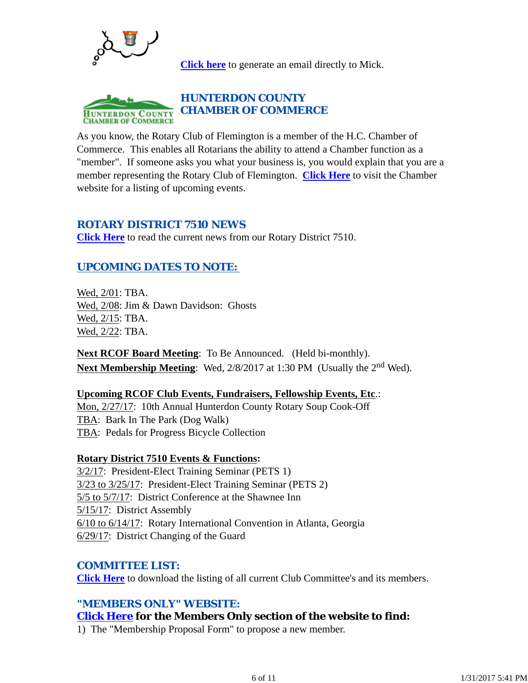

**Click here** to generate an email directly to Mick.



As you know, the Rotary Club of Flemington is a member of the H.C. Chamber of Commerce. This enables all Rotarians the ability to attend a Chamber function as a "member". If someone asks you what your business is, you would explain that you are a member representing the Rotary Club of Flemington. **Click Here** to visit the Chamber website for a listing of upcoming events.

### *ROTARY DISTRICT 7510 NEWS*

**Click Here** to read the current news from our Rotary District 7510.

## *UPCOMING DATES TO NOTE:*

Wed, 2/01: TBA. Wed, 2/08: Jim & Dawn Davidson: Ghosts Wed, 2/15: TBA. Wed, 2/22: TBA.

**Next RCOF Board Meeting**: To Be Announced. (Held bi-monthly). **Next Membership Meeting**: Wed, 2/8/2017 at 1:30 PM (Usually the 2nd Wed).

### **Upcoming RCOF Club Events, Fundraisers, Fellowship Events, Etc**.:

Mon, 2/27/17: 10th Annual Hunterdon County Rotary Soup Cook-Off TBA: Bark In The Park (Dog Walk) TBA: Pedals for Progress Bicycle Collection

### **Rotary District 7510 Events & Functions:**

3/2/17: President-Elect Training Seminar (PETS 1) 3/23 to 3/25/17: President-Elect Training Seminar (PETS 2) 5/5 to 5/7/17: District Conference at the Shawnee Inn 5/15/17: District Assembly 6/10 to 6/14/17: Rotary International Convention in Atlanta, Georgia 6/29/17: District Changing of the Guard

### *COMMITTEE LIST:*

**Click Here** to download the listing of all current Club Committee's and its members.

### *"MEMBERS ONLY" WEBSITE:*

### **Click Here for the Members Only section of the website to find:**

1) The "Membership Proposal Form" to propose a new member.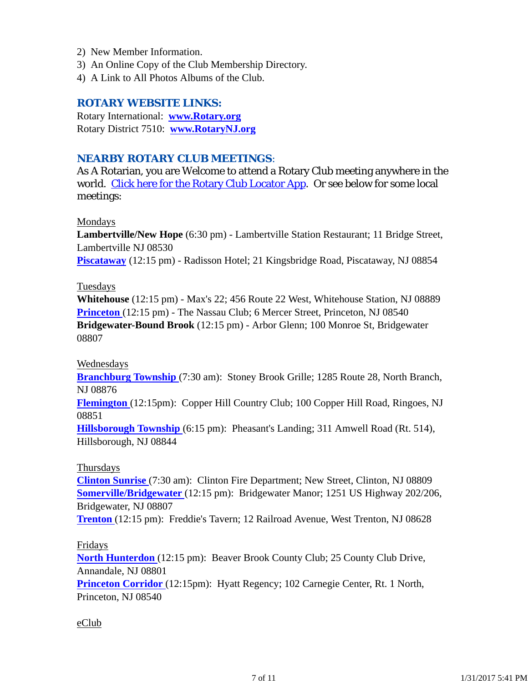- 2) New Member Information.
- 3) An Online Copy of the Club Membership Directory.
- 4) A Link to All Photos Albums of the Club.

## *ROTARY WEBSITE LINKS:*

Rotary International: **www.Rotary.org** Rotary District 7510: **www.RotaryNJ.org**

### *NEARBY ROTARY CLUB MEETINGS:*

As A Rotarian, you are Welcome to attend a Rotary Club meeting anywhere in the world. Click here for the Rotary Club Locator App. Or see below for some local meetings:

#### Mondays

**Lambertville/New Hope** (6:30 pm) - Lambertville Station Restaurant; 11 Bridge Street, Lambertville NJ 08530

**Piscataway** (12:15 pm) - Radisson Hotel; 21 Kingsbridge Road, Piscataway, NJ 08854

#### Tuesdays

**Whitehouse** (12:15 pm) - Max's 22; 456 Route 22 West, Whitehouse Station, NJ 08889 **Princeton** (12:15 pm) - The Nassau Club; 6 Mercer Street, Princeton, NJ 08540 **Bridgewater-Bound Brook** (12:15 pm) - Arbor Glenn; 100 Monroe St, Bridgewater 08807

#### Wednesdays

**Branchburg Township** (7:30 am): Stoney Brook Grille; 1285 Route 28, North Branch, NJ 08876

**Flemington** (12:15pm): Copper Hill Country Club; 100 Copper Hill Road, Ringoes, NJ 08851

**Hillsborough Township** (6:15 pm): Pheasant's Landing; 311 Amwell Road (Rt. 514), Hillsborough, NJ 08844

### Thursdays

**Clinton Sunrise** (7:30 am): Clinton Fire Department; New Street, Clinton, NJ 08809 **Somerville/Bridgewater** (12:15 pm): Bridgewater Manor; 1251 US Highway 202/206, Bridgewater, NJ 08807

**Trenton** (12:15 pm): Freddie's Tavern; 12 Railroad Avenue, West Trenton, NJ 08628

#### Fridays

**North Hunterdon** (12:15 pm): Beaver Brook County Club; 25 County Club Drive, Annandale, NJ 08801

**Princeton Corridor** (12:15pm): Hyatt Regency; 102 Carnegie Center, Rt. 1 North, Princeton, NJ 08540

#### eClub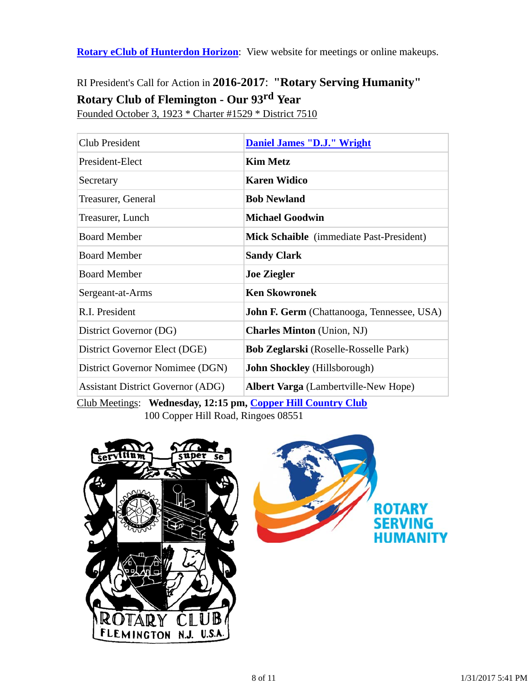**Rotary eClub of Hunterdon Horizon**: View website for meetings or online makeups.

# RI President's Call for Action in **2016-2017**: **"Rotary Serving Humanity" Rotary Club of Flemington - Our 93rd Year**

Founded October 3, 1923 \* Charter #1529 \* District 7510

| Club President                           | <b>Daniel James "D.J." Wright</b>            |  |
|------------------------------------------|----------------------------------------------|--|
| President-Elect                          | <b>Kim Metz</b>                              |  |
| Secretary                                | <b>Karen Widico</b>                          |  |
| Treasurer, General                       | <b>Bob Newland</b>                           |  |
| Treasurer, Lunch                         | <b>Michael Goodwin</b>                       |  |
| <b>Board Member</b>                      | Mick Schaible (immediate Past-President)     |  |
| <b>Board Member</b>                      | <b>Sandy Clark</b>                           |  |
| <b>Board Member</b>                      | <b>Joe Ziegler</b>                           |  |
| Sergeant-at-Arms                         | <b>Ken Skowronek</b>                         |  |
| R.I. President                           | John F. Germ (Chattanooga, Tennessee, USA)   |  |
| District Governor (DG)                   | <b>Charles Minton</b> (Union, NJ)            |  |
| District Governor Elect (DGE)            | <b>Bob Zeglarski</b> (Roselle-Rosselle Park) |  |
| District Governor Nomimee (DGN)          | John Shockley (Hillsborough)                 |  |
| <b>Assistant District Governor (ADG)</b> | <b>Albert Varga</b> (Lambertville-New Hope)  |  |
|                                          |                                              |  |

Club Meetings: **Wednesday, 12:15 pm, Copper Hill Country Club** 100 Copper Hill Road, Ringoes 08551



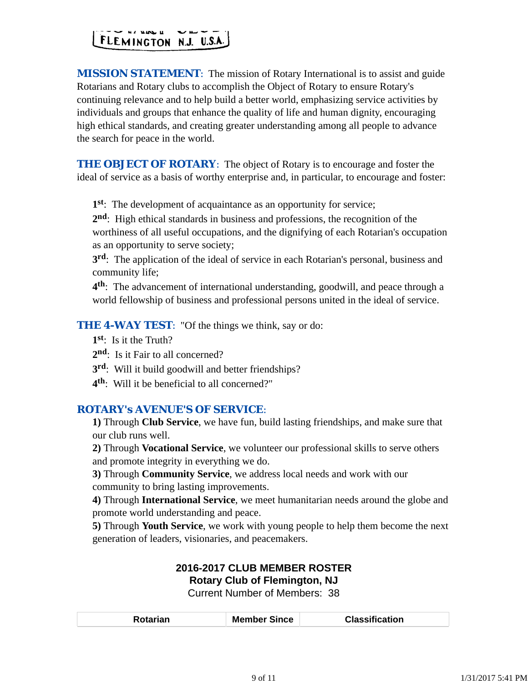# FLEMINGTON N.J. U.S.A.

*MISSION STATEMENT*: The mission of Rotary International is to assist and guide Rotarians and Rotary clubs to accomplish the Object of Rotary to ensure Rotary's continuing relevance and to help build a better world, emphasizing service activities by individuals and groups that enhance the quality of life and human dignity, encouraging high ethical standards, and creating greater understanding among all people to advance the search for peace in the world.

**THE OBJECT OF ROTARY:** The object of Rotary is to encourage and foster the ideal of service as a basis of worthy enterprise and, in particular, to encourage and foster:

**1st**: The development of acquaintance as an opportunity for service;

**2nd**: High ethical standards in business and professions, the recognition of the worthiness of all useful occupations, and the dignifying of each Rotarian's occupation as an opportunity to serve society;

**3rd**: The application of the ideal of service in each Rotarian's personal, business and community life;

**4th**: The advancement of international understanding, goodwill, and peace through a world fellowship of business and professional persons united in the ideal of service.

**THE 4-WAY TEST:** "Of the things we think, say or do:

**1st**: Is it the Truth?

- 2<sup>nd</sup>: Is it Fair to all concerned?
- **3rd**: Will it build goodwill and better friendships?
- **4th**: Will it be beneficial to all concerned?"

## *ROTARY's AVENUE'S OF SERVICE*:

**1)** Through **Club Service**, we have fun, build lasting friendships, and make sure that our club runs well.

**2)** Through **Vocational Service**, we volunteer our professional skills to serve others and promote integrity in everything we do.

**3)** Through **Community Service**, we address local needs and work with our community to bring lasting improvements.

**4)** Through **International Service**, we meet humanitarian needs around the globe and promote world understanding and peace.

**5)** Through **Youth Service**, we work with young people to help them become the next generation of leaders, visionaries, and peacemakers.

### **2016-2017 CLUB MEMBER ROSTER Rotary Club of Flemington, NJ**

Current Number of Members: 38

| ember Since<br>M<br>งtarian<br>. | <b>Classification</b> |
|----------------------------------|-----------------------|
|----------------------------------|-----------------------|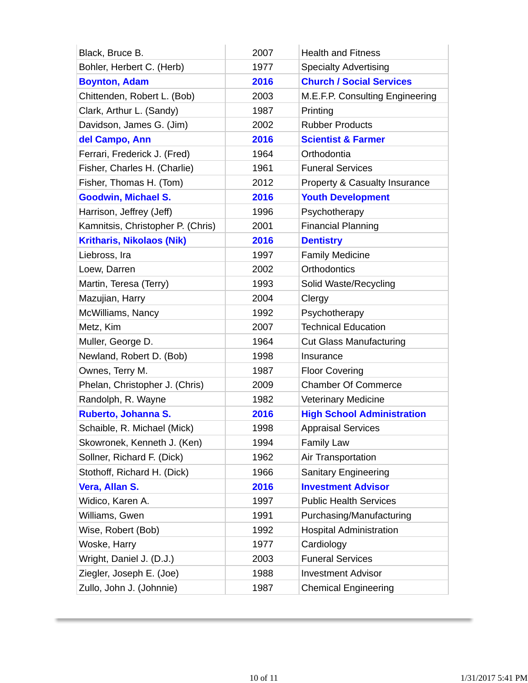| Black, Bruce B.                   | 2007 | <b>Health and Fitness</b>         |
|-----------------------------------|------|-----------------------------------|
| Bohler, Herbert C. (Herb)         | 1977 | <b>Specialty Advertising</b>      |
| <b>Boynton, Adam</b>              | 2016 | <b>Church / Social Services</b>   |
| Chittenden, Robert L. (Bob)       | 2003 | M.E.F.P. Consulting Engineering   |
| Clark, Arthur L. (Sandy)          | 1987 | Printing                          |
| Davidson, James G. (Jim)          | 2002 | <b>Rubber Products</b>            |
| del Campo, Ann                    | 2016 | <b>Scientist &amp; Farmer</b>     |
| Ferrari, Frederick J. (Fred)      | 1964 | Orthodontia                       |
| Fisher, Charles H. (Charlie)      | 1961 | <b>Funeral Services</b>           |
| Fisher, Thomas H. (Tom)           | 2012 | Property & Casualty Insurance     |
| <b>Goodwin, Michael S.</b>        | 2016 | <b>Youth Development</b>          |
| Harrison, Jeffrey (Jeff)          | 1996 | Psychotherapy                     |
| Kamnitsis, Christopher P. (Chris) | 2001 | <b>Financial Planning</b>         |
| <b>Kritharis, Nikolaos (Nik)</b>  | 2016 | <b>Dentistry</b>                  |
| Liebross, Ira                     | 1997 | <b>Family Medicine</b>            |
| Loew, Darren                      | 2002 | <b>Orthodontics</b>               |
| Martin, Teresa (Terry)            | 1993 | Solid Waste/Recycling             |
| Mazujian, Harry                   | 2004 | Clergy                            |
| McWilliams, Nancy                 | 1992 | Psychotherapy                     |
| Metz, Kim                         | 2007 | <b>Technical Education</b>        |
| Muller, George D.                 | 1964 | <b>Cut Glass Manufacturing</b>    |
| Newland, Robert D. (Bob)          | 1998 | Insurance                         |
| Ownes, Terry M.                   | 1987 | <b>Floor Covering</b>             |
| Phelan, Christopher J. (Chris)    | 2009 | <b>Chamber Of Commerce</b>        |
| Randolph, R. Wayne                | 1982 | <b>Veterinary Medicine</b>        |
| Ruberto, Johanna S.               | 2016 | <b>High School Administration</b> |
| Schaible, R. Michael (Mick)       | 1998 | <b>Appraisal Services</b>         |
| Skowronek, Kenneth J. (Ken)       | 1994 | <b>Family Law</b>                 |
| Sollner, Richard F. (Dick)        | 1962 | Air Transportation                |
| Stothoff, Richard H. (Dick)       | 1966 | <b>Sanitary Engineering</b>       |
| Vera, Allan S.                    | 2016 | <b>Investment Advisor</b>         |
| Widico, Karen A.                  | 1997 | <b>Public Health Services</b>     |
| Williams, Gwen                    | 1991 | Purchasing/Manufacturing          |
| Wise, Robert (Bob)                | 1992 | <b>Hospital Administration</b>    |
| Woske, Harry                      | 1977 | Cardiology                        |
| Wright, Daniel J. (D.J.)          | 2003 | <b>Funeral Services</b>           |
| Ziegler, Joseph E. (Joe)          | 1988 | <b>Investment Advisor</b>         |
| Zullo, John J. (Johnnie)          | 1987 | <b>Chemical Engineering</b>       |